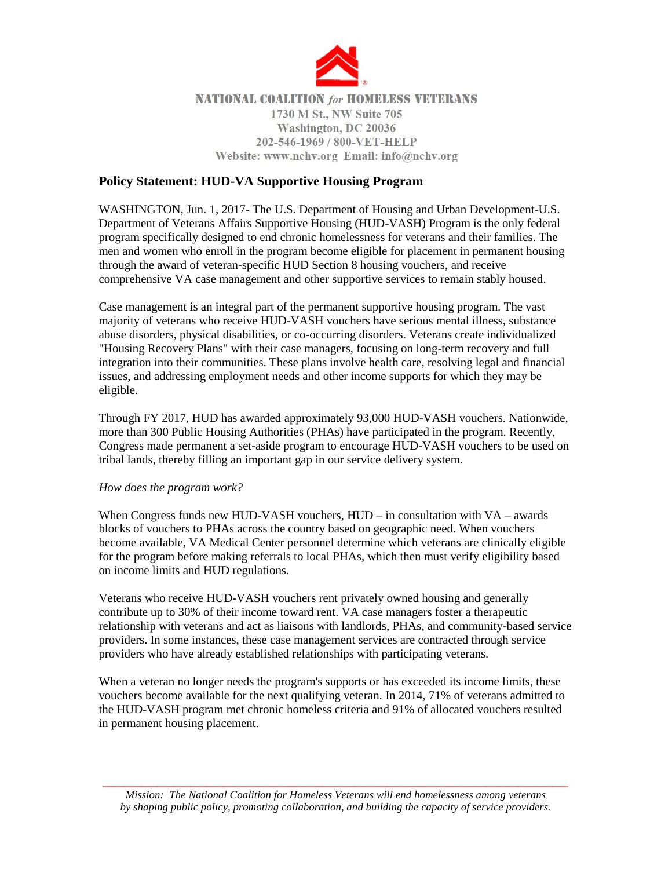

# **NATIONAL COALITION for HOMELESS VETERANS** 1730 M St., NW Suite 705 Washington, DC 20036 202-546-1969 / 800-VET-HELP Website: www.nchv.org Email: info@nchv.org

# **Policy Statement: HUD-VA Supportive Housing Program**

WASHINGTON, Jun. 1, 2017- The U.S. Department of Housing and Urban Development-U.S. Department of Veterans Affairs Supportive Housing (HUD-VASH) Program is the only federal program specifically designed to end chronic homelessness for veterans and their families. The men and women who enroll in the program become eligible for placement in permanent housing through the award of veteran-specific HUD Section 8 housing vouchers, and receive comprehensive VA case management and other supportive services to remain stably housed.

Case management is an integral part of the permanent supportive housing program. The vast majority of veterans who receive HUD-VASH vouchers have serious mental illness, substance abuse disorders, physical disabilities, or co-occurring disorders. Veterans create individualized "Housing Recovery Plans" with their case managers, focusing on long-term recovery and full integration into their communities. These plans involve health care, resolving legal and financial issues, and addressing employment needs and other income supports for which they may be eligible.

Through FY 2017, HUD has awarded approximately 93,000 HUD-VASH vouchers. Nationwide, more than 300 Public Housing Authorities (PHAs) have participated in the program. Recently, Congress made permanent a set-aside program to encourage HUD-VASH vouchers to be used on tribal lands, thereby filling an important gap in our service delivery system.

## *How does the program work?*

When Congress funds new HUD-VASH vouchers, HUD – in consultation with VA – awards blocks of vouchers to PHAs across the country based on geographic need. When vouchers become available, VA Medical Center personnel determine which veterans are clinically eligible for the program before making referrals to local PHAs, which then must verify eligibility based on income limits and HUD regulations.

Veterans who receive HUD-VASH vouchers rent privately owned housing and generally contribute up to 30% of their income toward rent. VA case managers foster a therapeutic relationship with veterans and act as liaisons with landlords, PHAs, and community-based service providers. In some instances, these case management services are contracted through service providers who have already established relationships with participating veterans.

When a veteran no longer needs the program's supports or has exceeded its income limits, these vouchers become available for the next qualifying veteran. In 2014, 71% of veterans admitted to the HUD-VASH program met chronic homeless criteria and 91% of allocated vouchers resulted in permanent housing placement.